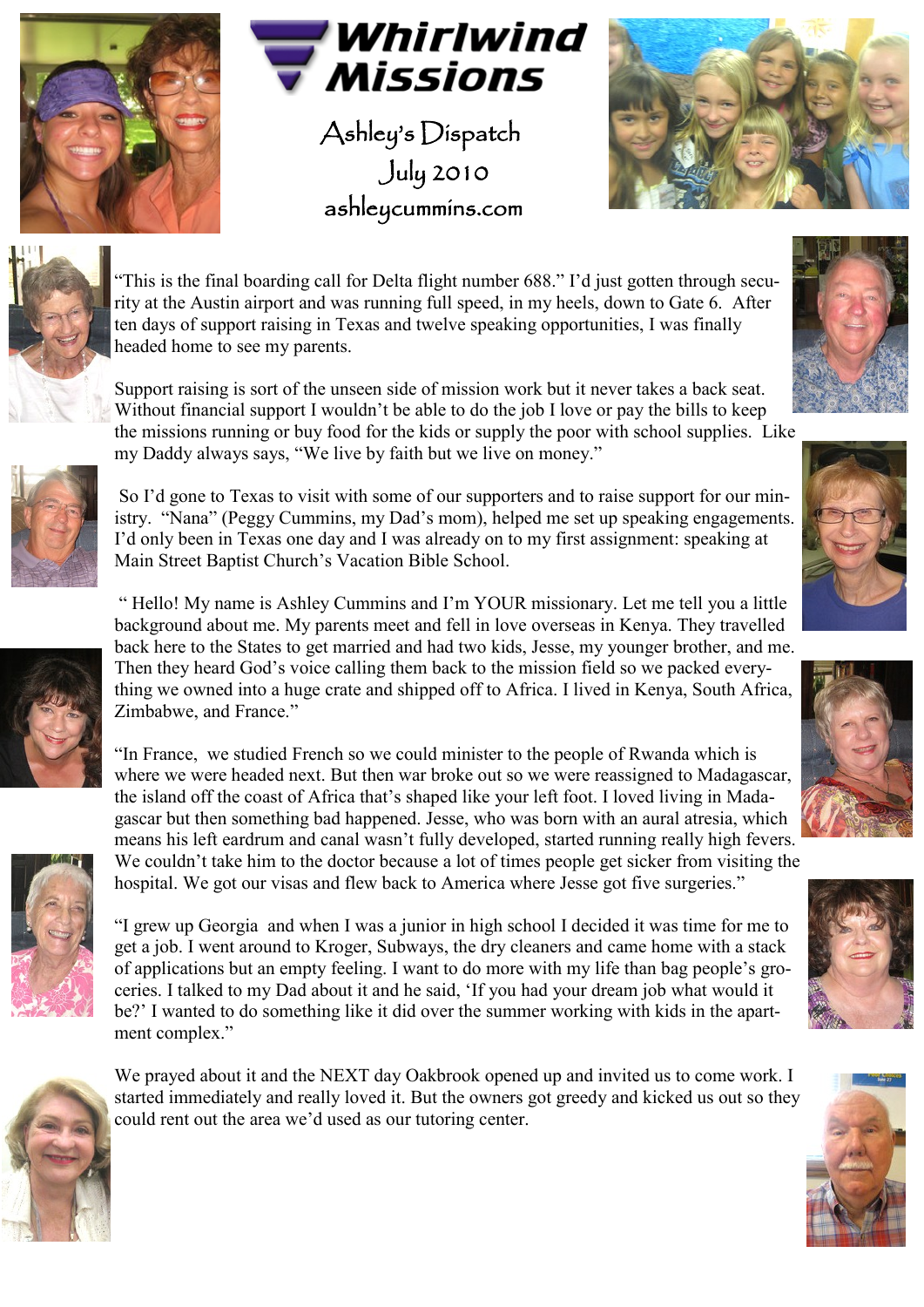



Ashley's Dispatch July 2010 ashleycummins.com





"This is the final boarding call for Delta flight number 688." I"d just gotten through security at the Austin airport and was running full speed, in my heels, down to Gate 6. After ten days of support raising in Texas and twelve speaking opportunities, I was finally headed home to see my parents.

Support raising is sort of the unseen side of mission work but it never takes a back seat. Without financial support I wouldn't be able to do the job I love or pay the bills to keep the missions running or buy food for the kids or supply the poor with school supplies. Like my Daddy always says, "We live by faith but we live on money."



So I"d gone to Texas to visit with some of our supporters and to raise support for our ministry. "Nana" (Peggy Cummins, my Dad"s mom), helped me set up speaking engagements. I"d only been in Texas one day and I was already on to my first assignment: speaking at Main Street Baptist Church"s Vacation Bible School.



" Hello! My name is Ashley Cummins and I"m YOUR missionary. Let me tell you a little background about me. My parents meet and fell in love overseas in Kenya. They travelled back here to the States to get married and had two kids, Jesse, my younger brother, and me. Then they heard God"s voice calling them back to the mission field so we packed everything we owned into a huge crate and shipped off to Africa. I lived in Kenya, South Africa, Zimbabwe, and France."

"In France, we studied French so we could minister to the people of Rwanda which is where we were headed next. But then war broke out so we were reassigned to Madagascar, the island off the coast of Africa that"s shaped like your left foot. I loved living in Madagascar but then something bad happened. Jesse, who was born with an aural atresia, which means his left eardrum and canal wasn"t fully developed, started running really high fevers. We couldn't take him to the doctor because a lot of times people get sicker from visiting the hospital. We got our visas and flew back to America where Jesse got five surgeries."



"I grew up Georgia and when I was a junior in high school I decided it was time for me to get a job. I went around to Kroger, Subways, the dry cleaners and came home with a stack of applications but an empty feeling. I want to do more with my life than bag people"s groceries. I talked to my Dad about it and he said, "If you had your dream job what would it be?" I wanted to do something like it did over the summer working with kids in the apartment complex."



We prayed about it and the NEXT day Oakbrook opened up and invited us to come work. I started immediately and really loved it. But the owners got greedy and kicked us out so they could rent out the area we"d used as our tutoring center.